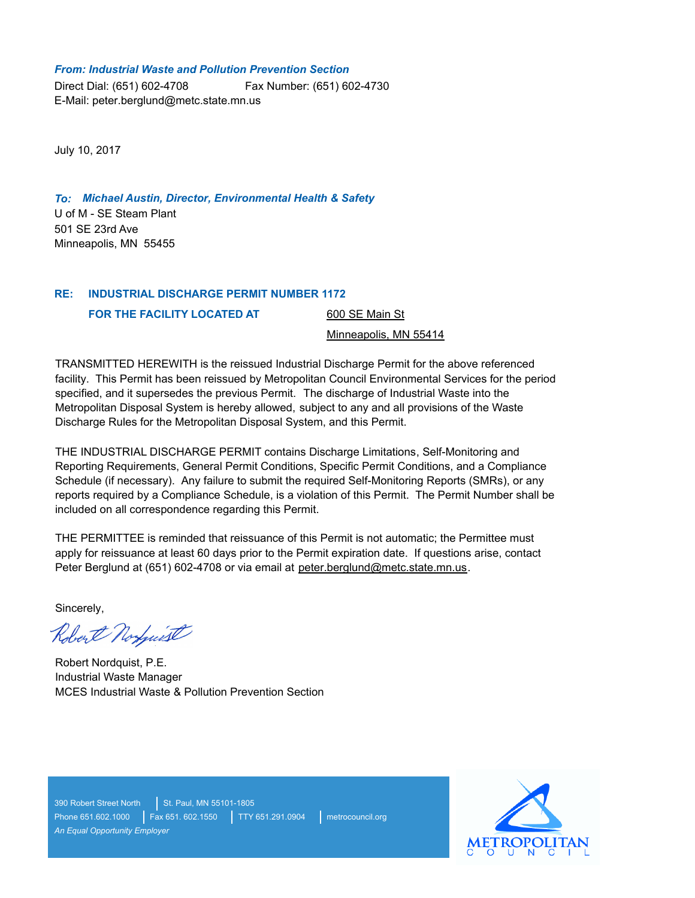#### *From: Industrial Waste and Pollution Prevention Section*

Direct Dial: (651) 602-4708 E-Mail: peter.berglund@metc.state.mn.us Fax Number: (651) 602-4730

July 10, 2017

U of M - SE Steam Plant *To: Michael Austin, Director, Environmental Health & Safety* 501 SE 23rd Ave Minneapolis, MN 55455

#### **INDUSTRIAL DISCHARGE PERMIT NUMBER 1172 RE:**

**FOR THE FACILITY LOCATED AT** 

600 SE Main St

Minneapolis, MN 55414

TRANSMITTED HEREWITH is the reissued Industrial Discharge Permit for the above referenced facility. This Permit has been reissued by Metropolitan Council Environmental Services for the period specified, and it supersedes the previous Permit. The discharge of Industrial Waste into the Metropolitan Disposal System is hereby allowed, subject to any and all provisions of the Waste Discharge Rules for the Metropolitan Disposal System, and this Permit.

THE INDUSTRIAL DISCHARGE PERMIT contains Discharge Limitations, Self-Monitoring and Reporting Requirements, General Permit Conditions, Specific Permit Conditions, and a Compliance Schedule (if necessary). Any failure to submit the required Self-Monitoring Reports (SMRs), or any reports required by a Compliance Schedule, is a violation of this Permit. The Permit Number shall be included on all correspondence regarding this Permit.

THE PERMITTEE is reminded that reissuance of this Permit is not automatic; the Permittee must apply for reissuance at least 60 days prior to the Permit expiration date. If questions arise, contact Peter Berglund at (651) 602-4708 or via email at peter.berglund@metc.state.mn.us.

Sincerely,

Robert Norguest

Robert Nordquist, P.E. Industrial Waste Manager MCES Industrial Waste & Pollution Prevention Section

390 Robert Street North St. Paul, MN 55101-1805 Phone 651.602.1000 Fax 651. 602.1550 TTY 651.291.0904 metrocouncil.org *An Equal Opportunity Employer*

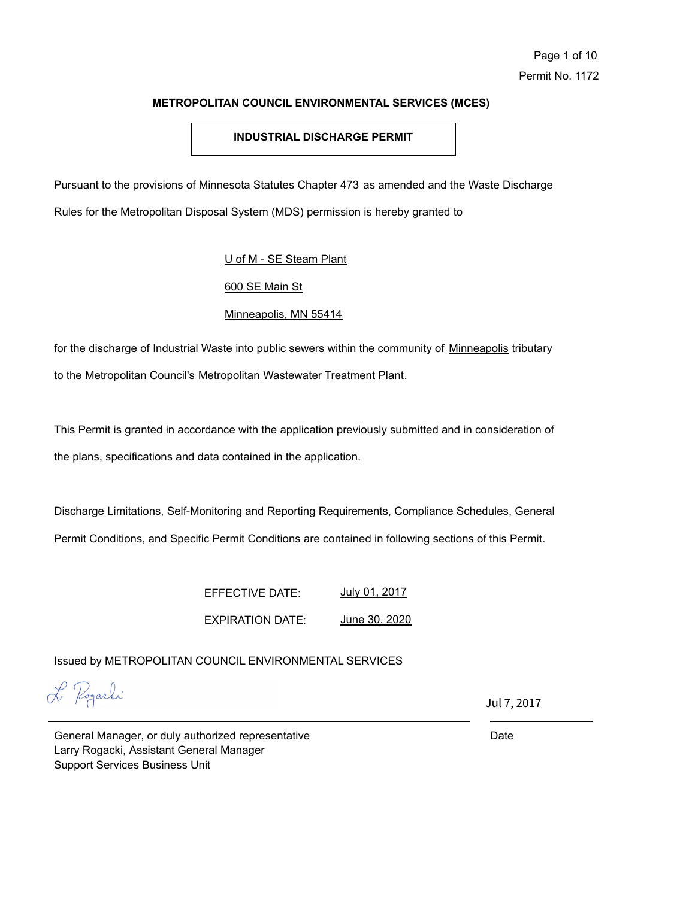# **INDUSTRIAL DISCHARGE PERMIT**

Pursuant to the provisions of Minnesota Statutes Chapter 473 as amended and the Waste Discharge

Rules for the Metropolitan Disposal System (MDS) permission is hereby granted to

# U of M - SE Steam Plant

# 600 SE Main St

# Minneapolis, MN 55414

for the discharge of Industrial Waste into public sewers within the community of Minneapolis tributary to the Metropolitan Council's Metropolitan Wastewater Treatment Plant.

This Permit is granted in accordance with the application previously submitted and in consideration of the plans, specifications and data contained in the application.

Discharge Limitations, Self-Monitoring and Reporting Requirements, Compliance Schedules, General Permit Conditions, and Specific Permit Conditions are contained in following sections of this Permit.

> EFFECTIVE DATE: EXPIRATION DATE: July 01, 2017 June 30, 2020

Issued by METROPOLITAN COUNCIL ENVIRONMENTAL SERVICES

L Pogarki

Jul 7, 2017

General Manager, or duly authorized representative Larry Rogacki, Assistant General Manager Support Services Business Unit

Date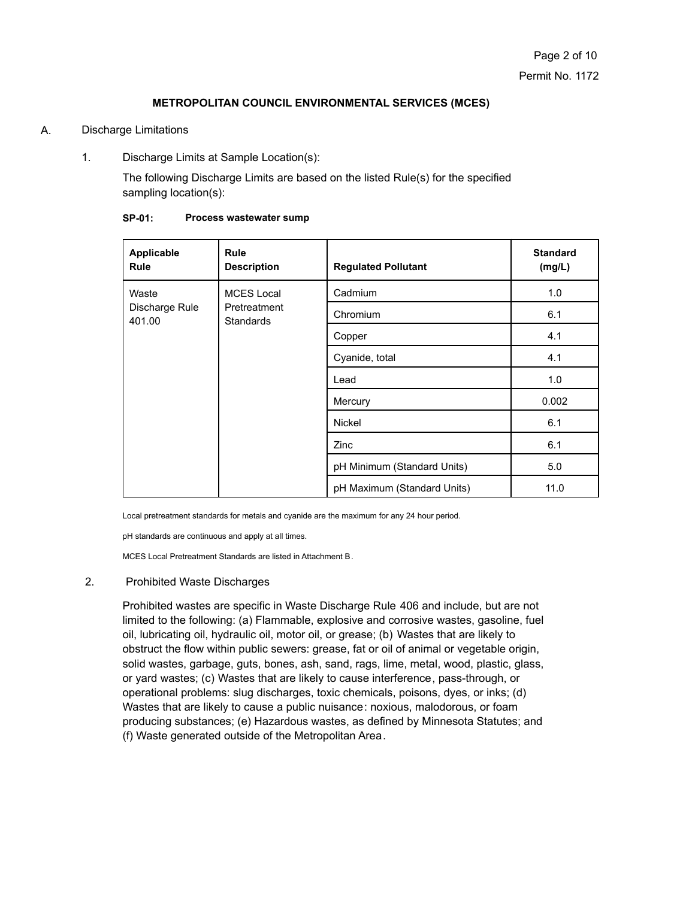#### A. Discharge Limitations

1. Discharge Limits at Sample Location(s):

The following Discharge Limits are based on the listed Rule(s) for the specified sampling location(s):

| Applicable<br><b>Rule</b>         | <b>Rule</b><br><b>Description</b>                     | <b>Regulated Pollutant</b>  | <b>Standard</b><br>(mg/L) |
|-----------------------------------|-------------------------------------------------------|-----------------------------|---------------------------|
| Waste<br>Discharge Rule<br>401.00 | <b>MCES Local</b><br>Pretreatment<br><b>Standards</b> | Cadmium                     | 1.0                       |
|                                   |                                                       | Chromium                    | 6.1                       |
|                                   |                                                       | Copper                      | 4.1                       |
|                                   |                                                       | Cyanide, total              | 4.1                       |
|                                   |                                                       | Lead                        | 1.0                       |
|                                   |                                                       | Mercury                     | 0.002                     |
|                                   |                                                       | Nickel                      | 6.1                       |
|                                   |                                                       | Zinc                        | 6.1                       |
|                                   |                                                       | pH Minimum (Standard Units) | 5.0                       |
|                                   |                                                       | pH Maximum (Standard Units) | 11.0                      |

| Process wastewater sump |
|-------------------------|
|                         |

Local pretreatment standards for metals and cyanide are the maximum for any 24 hour period.

pH standards are continuous and apply at all times.

MCES Local Pretreatment Standards are listed in Attachment B.

#### 2. Prohibited Waste Discharges

Prohibited wastes are specific in Waste Discharge Rule 406 and include, but are not limited to the following: (a) Flammable, explosive and corrosive wastes, gasoline, fuel oil, lubricating oil, hydraulic oil, motor oil, or grease; (b) Wastes that are likely to obstruct the flow within public sewers: grease, fat or oil of animal or vegetable origin, solid wastes, garbage, guts, bones, ash, sand, rags, lime, metal, wood, plastic, glass, or yard wastes; (c) Wastes that are likely to cause interference, pass-through, or operational problems: slug discharges, toxic chemicals, poisons, dyes, or inks; (d) Wastes that are likely to cause a public nuisance: noxious, malodorous, or foam producing substances; (e) Hazardous wastes, as defined by Minnesota Statutes; and (f) Waste generated outside of the Metropolitan Area.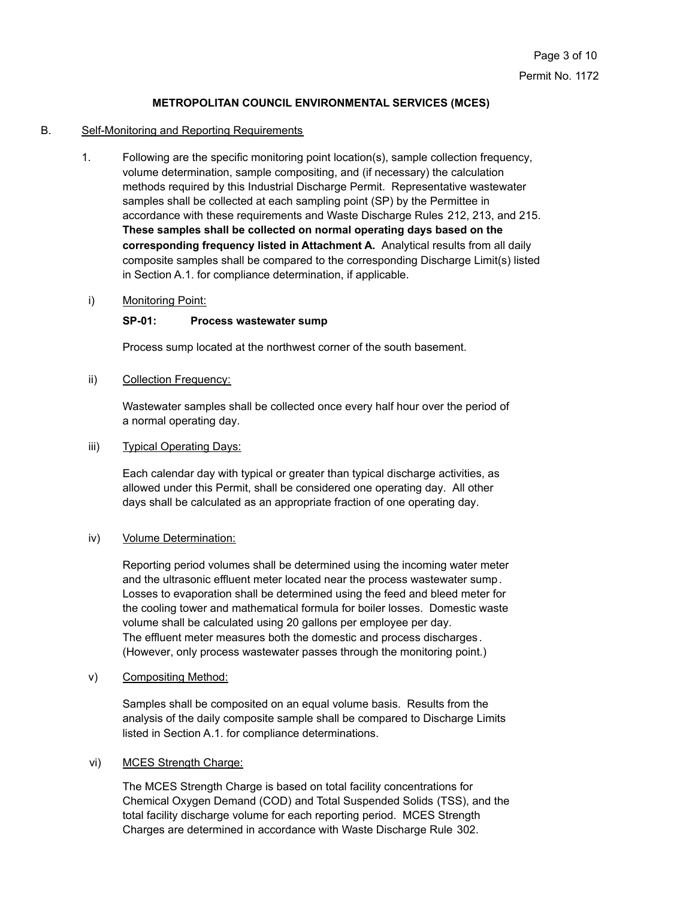#### B. Self-Monitoring and Reporting Requirements

- 1. Following are the specific monitoring point location(s), sample collection frequency, volume determination, sample compositing, and (if necessary) the calculation methods required by this Industrial Discharge Permit. Representative wastewater samples shall be collected at each sampling point (SP) by the Permittee in accordance with these requirements and Waste Discharge Rules 212, 213, and 215. **These samples shall be collected on normal operating days based on the corresponding frequency listed in Attachment A.** Analytical results from all daily composite samples shall be compared to the corresponding Discharge Limit(s) listed in Section A.1. for compliance determination, if applicable.
- i) Monitoring Point:

#### **SP-01: Process wastewater sump**

Process sump located at the northwest corner of the south basement.

ii) Collection Frequency:

Wastewater samples shall be collected once every half hour over the period of a normal operating day.

#### iii) Typical Operating Days:

Each calendar day with typical or greater than typical discharge activities, as allowed under this Permit, shall be considered one operating day. All other days shall be calculated as an appropriate fraction of one operating day.

#### iv) Volume Determination:

Reporting period volumes shall be determined using the incoming water meter and the ultrasonic effluent meter located near the process wastewater sump. Losses to evaporation shall be determined using the feed and bleed meter for the cooling tower and mathematical formula for boiler losses. Domestic waste volume shall be calculated using 20 gallons per employee per day. The effluent meter measures both the domestic and process discharges . (However, only process wastewater passes through the monitoring point.)

v) Compositing Method:

Samples shall be composited on an equal volume basis. Results from the analysis of the daily composite sample shall be compared to Discharge Limits listed in Section A.1. for compliance determinations.

#### vi) MCES Strength Charge:

The MCES Strength Charge is based on total facility concentrations for Chemical Oxygen Demand (COD) and Total Suspended Solids (TSS), and the total facility discharge volume for each reporting period. MCES Strength Charges are determined in accordance with Waste Discharge Rule 302.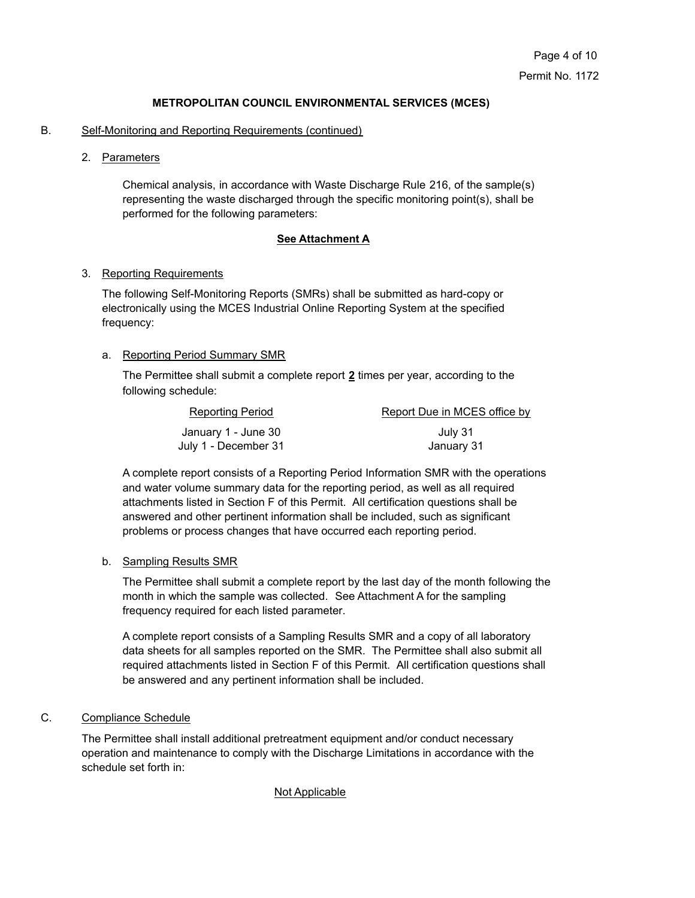### B. Self-Monitoring and Reporting Requirements (continued)

2. Parameters

Chemical analysis, in accordance with Waste Discharge Rule 216, of the sample(s) representing the waste discharged through the specific monitoring point(s), shall be performed for the following parameters:

#### **See Attachment A**

#### 3. Reporting Requirements

The following Self-Monitoring Reports (SMRs) shall be submitted as hard-copy or electronically using the MCES Industrial Online Reporting System at the specified frequency:

# a. Reporting Period Summary SMR

The Permittee shall submit a complete report **2** times per year, according to the following schedule:

| Reporting Period     | Report Due in MCES office by |
|----------------------|------------------------------|
| January 1 - June 30  | July 31                      |
| July 1 - December 31 | January 31                   |

A complete report consists of a Reporting Period Information SMR with the operations and water volume summary data for the reporting period, as well as all required attachments listed in Section F of this Permit. All certification questions shall be answered and other pertinent information shall be included, such as significant problems or process changes that have occurred each reporting period.

#### b. Sampling Results SMR

The Permittee shall submit a complete report by the last day of the month following the month in which the sample was collected. See Attachment A for the sampling frequency required for each listed parameter.

A complete report consists of a Sampling Results SMR and a copy of all laboratory data sheets for all samples reported on the SMR. The Permittee shall also submit all required attachments listed in Section F of this Permit. All certification questions shall be answered and any pertinent information shall be included.

# C. Compliance Schedule

The Permittee shall install additional pretreatment equipment and/or conduct necessary operation and maintenance to comply with the Discharge Limitations in accordance with the schedule set forth in:

# Not Applicable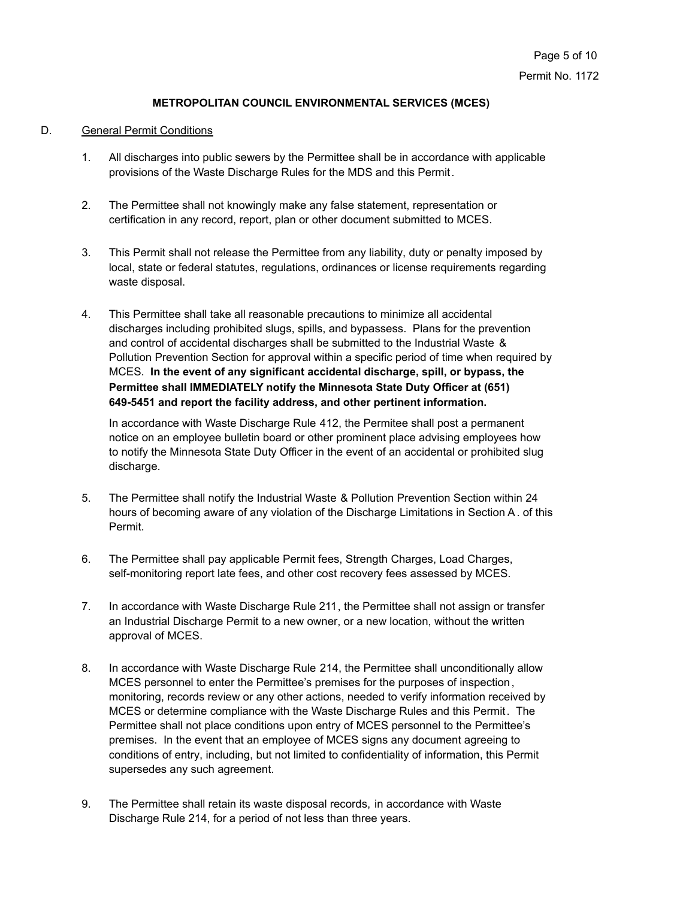# D. General Permit Conditions

- 1. All discharges into public sewers by the Permittee shall be in accordance with applicable provisions of the Waste Discharge Rules for the MDS and this Permit.
- 2. The Permittee shall not knowingly make any false statement, representation or certification in any record, report, plan or other document submitted to MCES.
- 3. This Permit shall not release the Permittee from any liability, duty or penalty imposed by local, state or federal statutes, regulations, ordinances or license requirements regarding waste disposal.
- 4. This Permittee shall take all reasonable precautions to minimize all accidental discharges including prohibited slugs, spills, and bypassess. Plans for the prevention and control of accidental discharges shall be submitted to the Industrial Waste & Pollution Prevention Section for approval within a specific period of time when required by MCES. **In the event of any significant accidental discharge, spill, or bypass, the Permittee shall IMMEDIATELY notify the Minnesota State Duty Officer at (651) 649-5451 and report the facility address, and other pertinent information.**

In accordance with Waste Discharge Rule 412, the Permitee shall post a permanent notice on an employee bulletin board or other prominent place advising employees how to notify the Minnesota State Duty Officer in the event of an accidental or prohibited slug discharge.

- 5. The Permittee shall notify the Industrial Waste & Pollution Prevention Section within 24 hours of becoming aware of any violation of the Discharge Limitations in Section A. of this Permit.
- 6. The Permittee shall pay applicable Permit fees, Strength Charges, Load Charges, self-monitoring report late fees, and other cost recovery fees assessed by MCES.
- 7. In accordance with Waste Discharge Rule 211, the Permittee shall not assign or transfer an Industrial Discharge Permit to a new owner, or a new location, without the written approval of MCES.
- 8. In accordance with Waste Discharge Rule 214, the Permittee shall unconditionally allow MCES personnel to enter the Permittee's premises for the purposes of inspection, monitoring, records review or any other actions, needed to verify information received by MCES or determine compliance with the Waste Discharge Rules and this Permit. The Permittee shall not place conditions upon entry of MCES personnel to the Permittee's premises. In the event that an employee of MCES signs any document agreeing to conditions of entry, including, but not limited to confidentiality of information, this Permit supersedes any such agreement.
- 9. The Permittee shall retain its waste disposal records, in accordance with Waste Discharge Rule 214, for a period of not less than three years.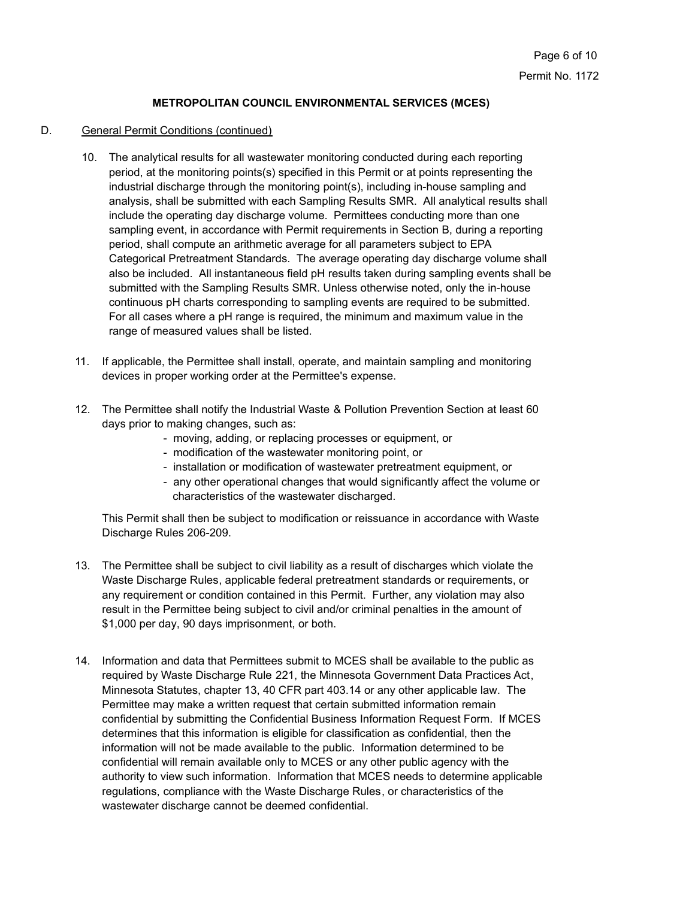# D. General Permit Conditions (continued)

- 10. The analytical results for all wastewater monitoring conducted during each reporting period, at the monitoring points(s) specified in this Permit or at points representing the industrial discharge through the monitoring point(s), including in-house sampling and analysis, shall be submitted with each Sampling Results SMR. All analytical results shall include the operating day discharge volume. Permittees conducting more than one sampling event, in accordance with Permit requirements in Section B, during a reporting period, shall compute an arithmetic average for all parameters subject to EPA Categorical Pretreatment Standards. The average operating day discharge volume shall also be included. All instantaneous field pH results taken during sampling events shall be submitted with the Sampling Results SMR. Unless otherwise noted, only the in-house continuous pH charts corresponding to sampling events are required to be submitted. For all cases where a pH range is required, the minimum and maximum value in the range of measured values shall be listed.
- 11. If applicable, the Permittee shall install, operate, and maintain sampling and monitoring devices in proper working order at the Permittee's expense.
- 12. The Permittee shall notify the Industrial Waste & Pollution Prevention Section at least 60 days prior to making changes, such as:
	- moving, adding, or replacing processes or equipment, or
	- modification of the wastewater monitoring point, or
	- installation or modification of wastewater pretreatment equipment, or
	- any other operational changes that would significantly affect the volume or characteristics of the wastewater discharged.

This Permit shall then be subject to modification or reissuance in accordance with Waste Discharge Rules 206-209.

- 13. The Permittee shall be subject to civil liability as a result of discharges which violate the Waste Discharge Rules, applicable federal pretreatment standards or requirements, or any requirement or condition contained in this Permit. Further, any violation may also result in the Permittee being subject to civil and/or criminal penalties in the amount of \$1,000 per day, 90 days imprisonment, or both.
- 14. Information and data that Permittees submit to MCES shall be available to the public as required by Waste Discharge Rule 221, the Minnesota Government Data Practices Act, Minnesota Statutes, chapter 13, 40 CFR part 403.14 or any other applicable law. The Permittee may make a written request that certain submitted information remain confidential by submitting the Confidential Business Information Request Form. If MCES determines that this information is eligible for classification as confidential, then the information will not be made available to the public. Information determined to be confidential will remain available only to MCES or any other public agency with the authority to view such information. Information that MCES needs to determine applicable regulations, compliance with the Waste Discharge Rules, or characteristics of the wastewater discharge cannot be deemed confidential.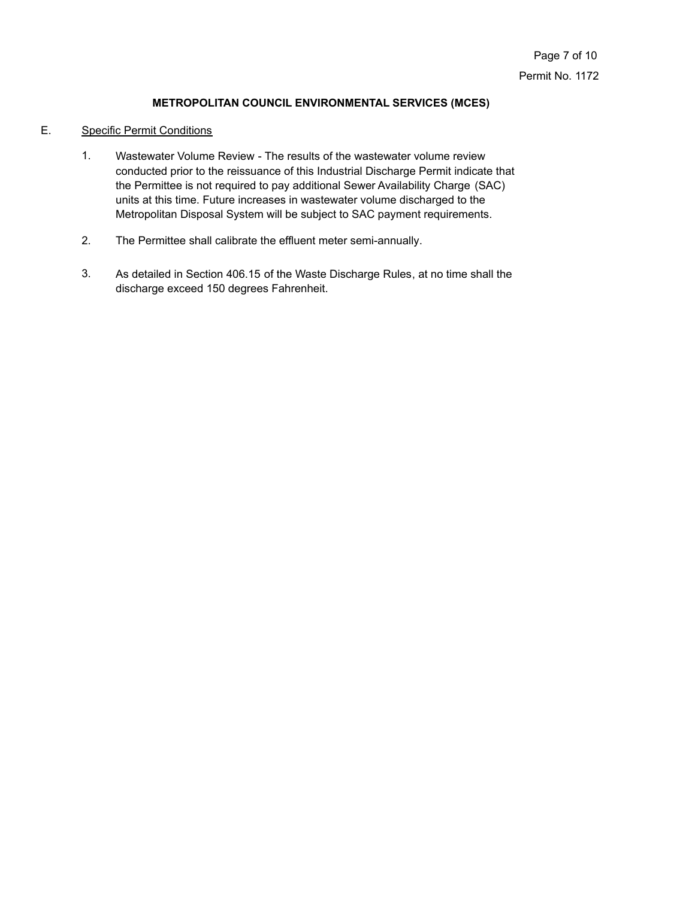### E. Specific Permit Conditions

- Wastewater Volume Review The results of the wastewater volume review conducted prior to the reissuance of this Industrial Discharge Permit indicate that the Permittee is not required to pay additional Sewer Availability Charge (SAC) units at this time. Future increases in wastewater volume discharged to the Metropolitan Disposal System will be subject to SAC payment requirements. 1.
- 2. The Permittee shall calibrate the effluent meter semi-annually.
- As detailed in Section 406.15 of the Waste Discharge Rules, at no time shall the discharge exceed 150 degrees Fahrenheit. 3.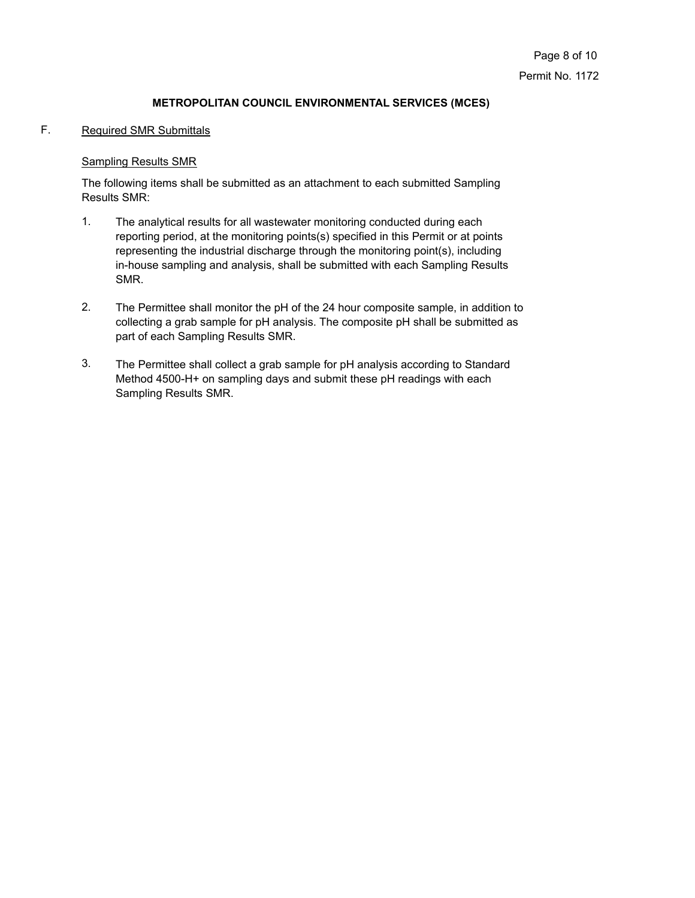# F. Required SMR Submittals

# Sampling Results SMR

The following items shall be submitted as an attachment to each submitted Sampling Results SMR:

- The analytical results for all wastewater monitoring conducted during each reporting period, at the monitoring points(s) specified in this Permit or at points representing the industrial discharge through the monitoring point(s), including in-house sampling and analysis, shall be submitted with each Sampling Results SMR. 1.
- The Permittee shall monitor the pH of the 24 hour composite sample, in addition to collecting a grab sample for pH analysis. The composite pH shall be submitted as part of each Sampling Results SMR. 2.
- The Permittee shall collect a grab sample for pH analysis according to Standard Method 4500-H+ on sampling days and submit these pH readings with each Sampling Results SMR. 3.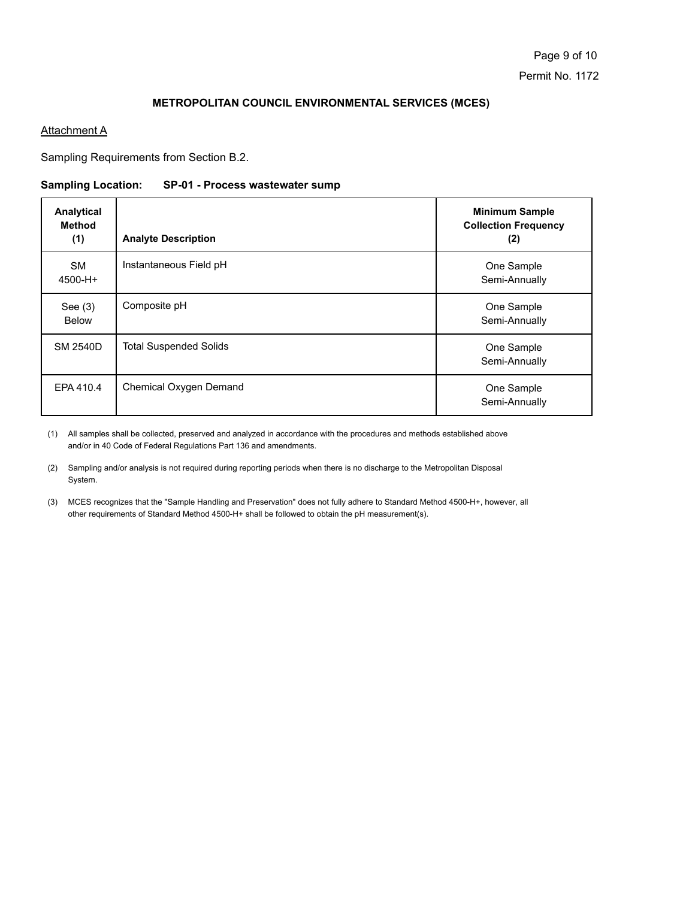# **Attachment A**

Sampling Requirements from Section B.2.

#### **Sampling Location: SP-01 - Process wastewater sump**

| Analytical<br><b>Method</b><br>(1) | <b>Analyte Description</b>    | <b>Minimum Sample</b><br><b>Collection Frequency</b><br>(2) |
|------------------------------------|-------------------------------|-------------------------------------------------------------|
| <b>SM</b><br>4500-H+               | Instantaneous Field pH        | One Sample<br>Semi-Annually                                 |
| See $(3)$<br><b>Below</b>          | Composite pH                  | One Sample<br>Semi-Annually                                 |
| <b>SM 2540D</b>                    | <b>Total Suspended Solids</b> | One Sample<br>Semi-Annually                                 |
| EPA 410.4                          | Chemical Oxygen Demand        | One Sample<br>Semi-Annually                                 |

All samples shall be collected, preserved and analyzed in accordance with the procedures and methods established above (1) and/or in 40 Code of Federal Regulations Part 136 and amendments.

(2) Sampling and/or analysis is not required during reporting periods when there is no discharge to the Metropolitan Disposal System.

(3) MCES recognizes that the "Sample Handling and Preservation" does not fully adhere to Standard Method 4500-H+, however, all other requirements of Standard Method 4500-H+ shall be followed to obtain the pH measurement(s).